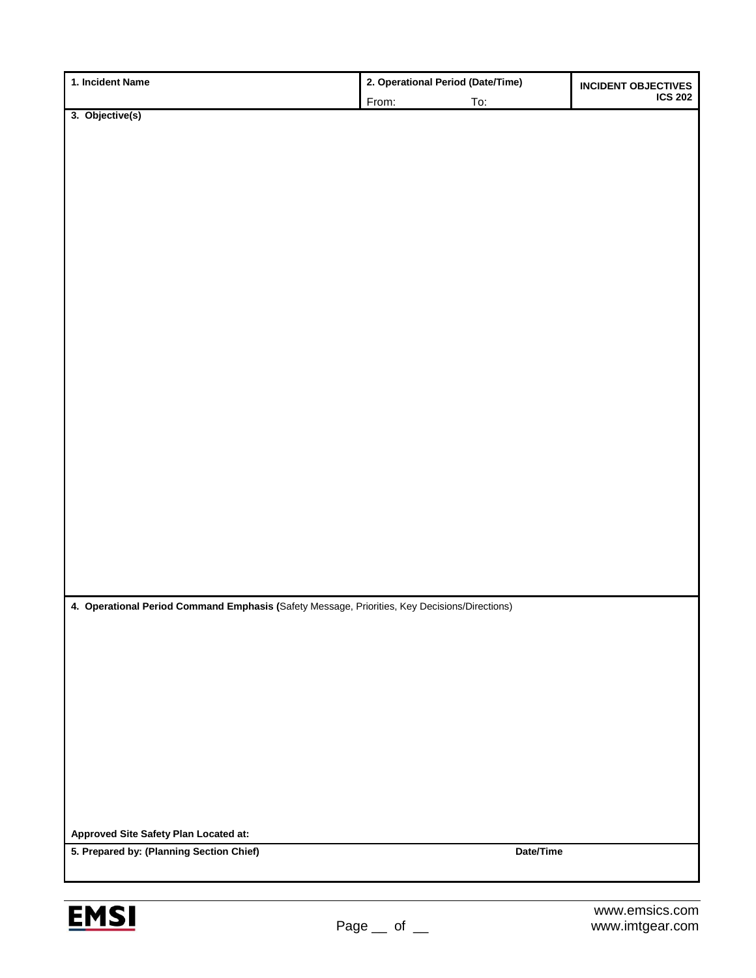| 1. Incident Name                                                                              | 2. Operational Period (Date/Time) |           | <b>INCIDENT OBJECTIVES</b> |
|-----------------------------------------------------------------------------------------------|-----------------------------------|-----------|----------------------------|
|                                                                                               | From:                             | To:       | <b>ICS 202</b>             |
| 3. Objective(s)                                                                               |                                   |           |                            |
|                                                                                               |                                   |           |                            |
|                                                                                               |                                   |           |                            |
|                                                                                               |                                   |           |                            |
|                                                                                               |                                   |           |                            |
|                                                                                               |                                   |           |                            |
|                                                                                               |                                   |           |                            |
|                                                                                               |                                   |           |                            |
|                                                                                               |                                   |           |                            |
|                                                                                               |                                   |           |                            |
|                                                                                               |                                   |           |                            |
|                                                                                               |                                   |           |                            |
|                                                                                               |                                   |           |                            |
|                                                                                               |                                   |           |                            |
|                                                                                               |                                   |           |                            |
|                                                                                               |                                   |           |                            |
|                                                                                               |                                   |           |                            |
|                                                                                               |                                   |           |                            |
|                                                                                               |                                   |           |                            |
|                                                                                               |                                   |           |                            |
|                                                                                               |                                   |           |                            |
|                                                                                               |                                   |           |                            |
|                                                                                               |                                   |           |                            |
|                                                                                               |                                   |           |                            |
|                                                                                               |                                   |           |                            |
| 4. Operational Period Command Emphasis (Safety Message, Priorities, Key Decisions/Directions) |                                   |           |                            |
|                                                                                               |                                   |           |                            |
|                                                                                               |                                   |           |                            |
|                                                                                               |                                   |           |                            |
|                                                                                               |                                   |           |                            |
|                                                                                               |                                   |           |                            |
|                                                                                               |                                   |           |                            |
|                                                                                               |                                   |           |                            |
|                                                                                               |                                   |           |                            |
|                                                                                               |                                   |           |                            |
|                                                                                               |                                   |           |                            |
| Approved Site Safety Plan Located at:                                                         |                                   |           |                            |
| 5. Prepared by: (Planning Section Chief)                                                      |                                   | Date/Time |                            |
|                                                                                               |                                   |           |                            |